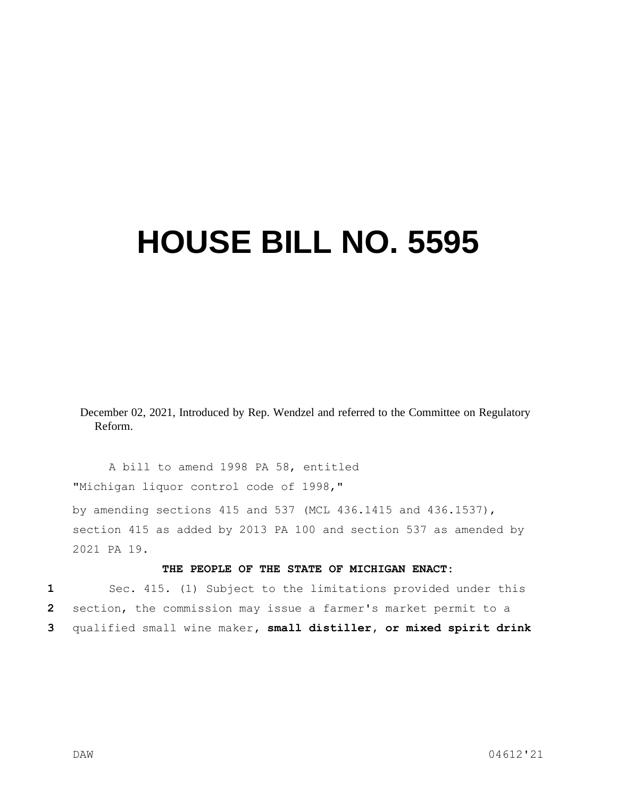## **HOUSE BILL NO. 5595**

December 02, 2021, Introduced by Rep. Wendzel and referred to the Committee on Regulatory Reform.

A bill to amend 1998 PA 58, entitled "Michigan liquor control code of 1998," by amending sections 415 and 537 (MCL 436.1415 and 436.1537), section 415 as added by 2013 PA 100 and section 537 as amended by 2021 PA 19.

## **THE PEOPLE OF THE STATE OF MICHIGAN ENACT:**

**1** Sec. 415. (1) Subject to the limitations provided under this **2** section, the commission may issue a farmer's market permit to a **3** qualified small wine maker**, small distiller, or mixed spirit drink**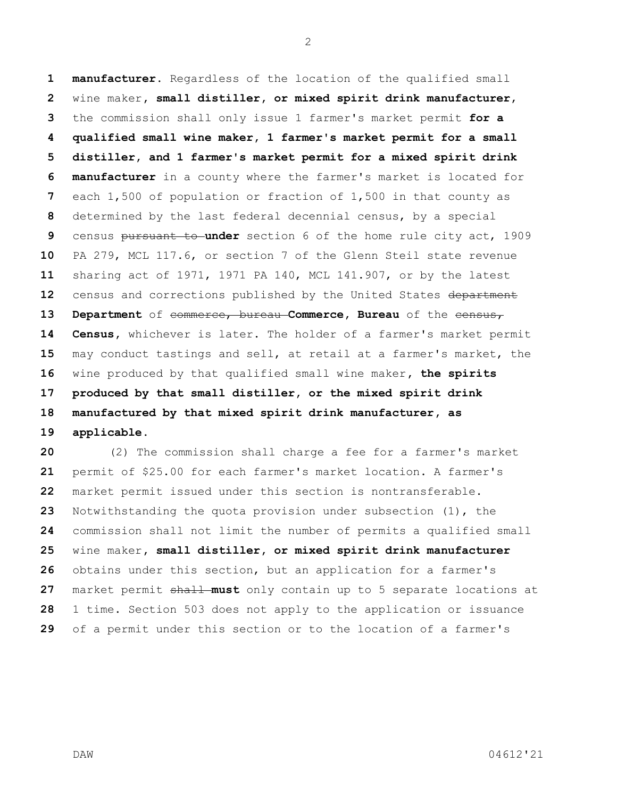**manufacturer**. Regardless of the location of the qualified small wine maker**, small distiller, or mixed spirit drink manufacturer**, the commission shall only issue 1 farmer's market permit **for a qualified small wine maker, 1 farmer's market permit for a small distiller, and 1 farmer's market permit for a mixed spirit drink manufacturer** in a county where the farmer's market is located for each 1,500 of population or fraction of 1,500 in that county as determined by the last federal decennial census, by a special census pursuant to **under** section 6 of the home rule city act, 1909 PA 279, MCL 117.6, or section 7 of the Glenn Steil state revenue sharing act of 1971, 1971 PA 140, MCL 141.907, or by the latest 12 census and corrections published by the United States department **Department** of commerce, bureau **Commerce, Bureau** of the census, **Census,** whichever is later. The holder of a farmer's market permit may conduct tastings and sell, at retail at a farmer's market, the wine produced by that qualified small wine maker**, the spirits produced by that small distiller, or the mixed spirit drink manufactured by that mixed spirit drink manufacturer, as applicable**.

 (2) The commission shall charge a fee for a farmer's market permit of \$25.00 for each farmer's market location. A farmer's market permit issued under this section is nontransferable. Notwithstanding the quota provision under subsection (1), the commission shall not limit the number of permits a qualified small wine maker**, small distiller, or mixed spirit drink manufacturer**  obtains under this section, but an application for a farmer's 27 market permit shall must only contain up to 5 separate locations at 1 time. Section 503 does not apply to the application or issuance of a permit under this section or to the location of a farmer's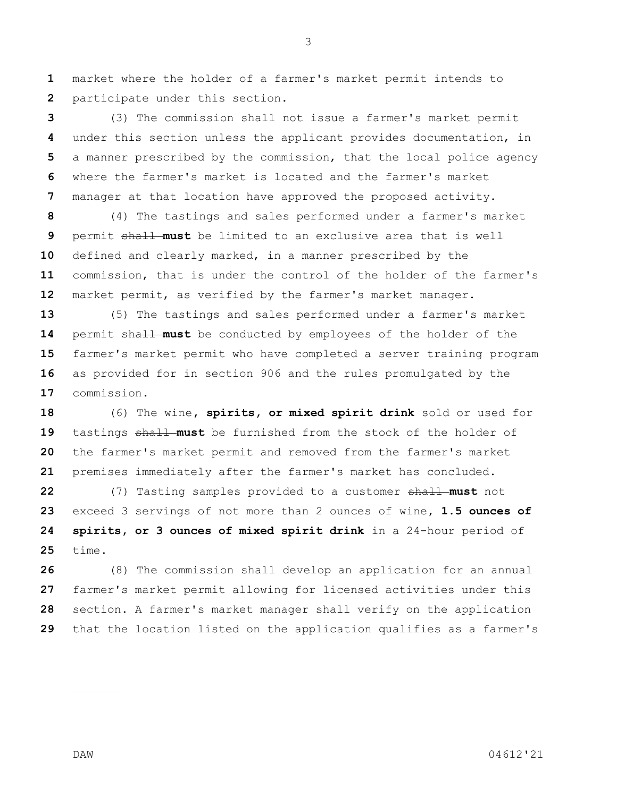market where the holder of a farmer's market permit intends to participate under this section.

 (3) The commission shall not issue a farmer's market permit under this section unless the applicant provides documentation, in a manner prescribed by the commission, that the local police agency where the farmer's market is located and the farmer's market manager at that location have approved the proposed activity.

 (4) The tastings and sales performed under a farmer's market permit shall **must** be limited to an exclusive area that is well defined and clearly marked, in a manner prescribed by the commission, that is under the control of the holder of the farmer's market permit, as verified by the farmer's market manager.

 (5) The tastings and sales performed under a farmer's market 14 permit shall must be conducted by employees of the holder of the farmer's market permit who have completed a server training program as provided for in section 906 and the rules promulgated by the commission.

 (6) The wine**, spirits, or mixed spirit drink** sold or used for 19 tastings shall must be furnished from the stock of the holder of the farmer's market permit and removed from the farmer's market premises immediately after the farmer's market has concluded.

 (7) Tasting samples provided to a customer shall **must** not exceed 3 servings of not more than 2 ounces of wine**, 1.5 ounces of spirits, or 3 ounces of mixed spirit drink** in a 24-hour period of time.

 (8) The commission shall develop an application for an annual farmer's market permit allowing for licensed activities under this section. A farmer's market manager shall verify on the application that the location listed on the application qualifies as a farmer's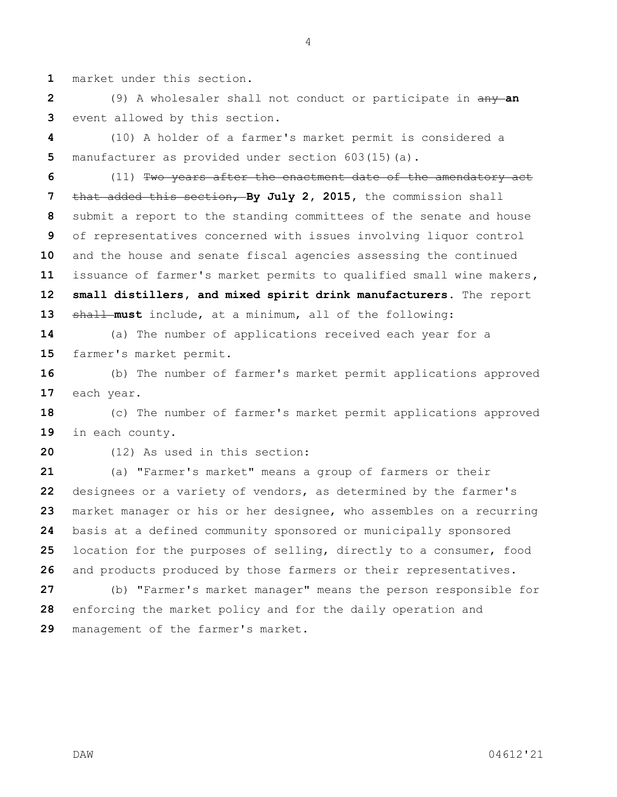market under this section.

 (9) A wholesaler shall not conduct or participate in any **an**  event allowed by this section.

 (10) A holder of a farmer's market permit is considered a manufacturer as provided under section 603(15)(a).

 (11) Two years after the enactment date of the amendatory act that added this section, **By July 2, 2015,** the commission shall submit a report to the standing committees of the senate and house of representatives concerned with issues involving liquor control and the house and senate fiscal agencies assessing the continued issuance of farmer's market permits to qualified small wine makers**, small distillers, and mixed spirit drink manufacturers**. The report shall **must** include, at a minimum, all of the following:

 (a) The number of applications received each year for a farmer's market permit.

 (b) The number of farmer's market permit applications approved each year.

 (c) The number of farmer's market permit applications approved in each county.

(12) As used in this section:

 (a) "Farmer's market" means a group of farmers or their designees or a variety of vendors, as determined by the farmer's market manager or his or her designee, who assembles on a recurring basis at a defined community sponsored or municipally sponsored location for the purposes of selling, directly to a consumer, food and products produced by those farmers or their representatives. (b) "Farmer's market manager" means the person responsible for

enforcing the market policy and for the daily operation and

management of the farmer's market.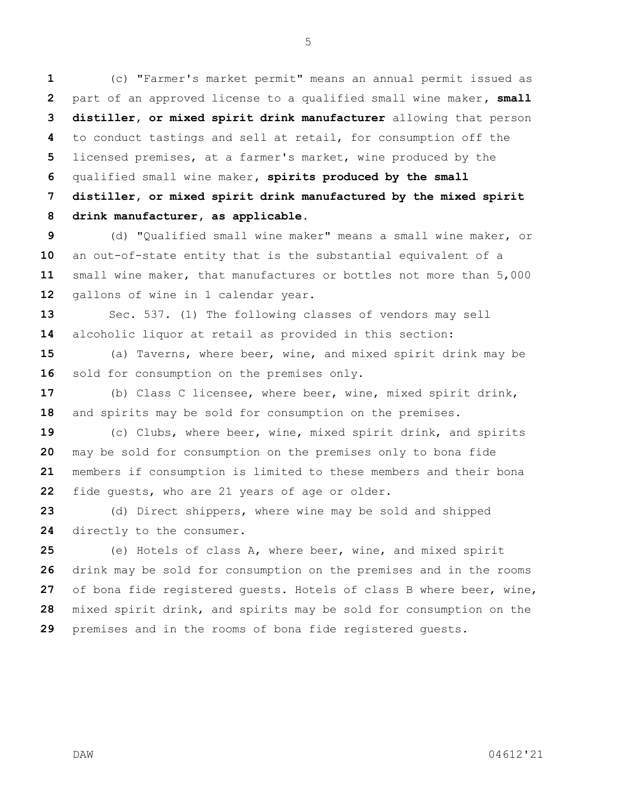(c) "Farmer's market permit" means an annual permit issued as part of an approved license to a qualified small wine maker**, small distiller, or mixed spirit drink manufacturer** allowing that person to conduct tastings and sell at retail, for consumption off the licensed premises, at a farmer's market, wine produced by the qualified small wine maker**, spirits produced by the small distiller, or mixed spirit drink manufactured by the mixed spirit drink manufacturer, as applicable**.

 (d) "Qualified small wine maker" means a small wine maker, or an out-of-state entity that is the substantial equivalent of a small wine maker, that manufactures or bottles not more than 5,000 gallons of wine in 1 calendar year.

 Sec. 537. (1) The following classes of vendors may sell alcoholic liquor at retail as provided in this section:

 (a) Taverns, where beer, wine, and mixed spirit drink may be 16 sold for consumption on the premises only.

 (b) Class C licensee, where beer, wine, mixed spirit drink, and spirits may be sold for consumption on the premises.

 (c) Clubs, where beer, wine, mixed spirit drink, and spirits may be sold for consumption on the premises only to bona fide members if consumption is limited to these members and their bona fide guests, who are 21 years of age or older.

 (d) Direct shippers, where wine may be sold and shipped directly to the consumer.

 (e) Hotels of class A, where beer, wine, and mixed spirit drink may be sold for consumption on the premises and in the rooms of bona fide registered guests. Hotels of class B where beer, wine, mixed spirit drink, and spirits may be sold for consumption on the premises and in the rooms of bona fide registered guests.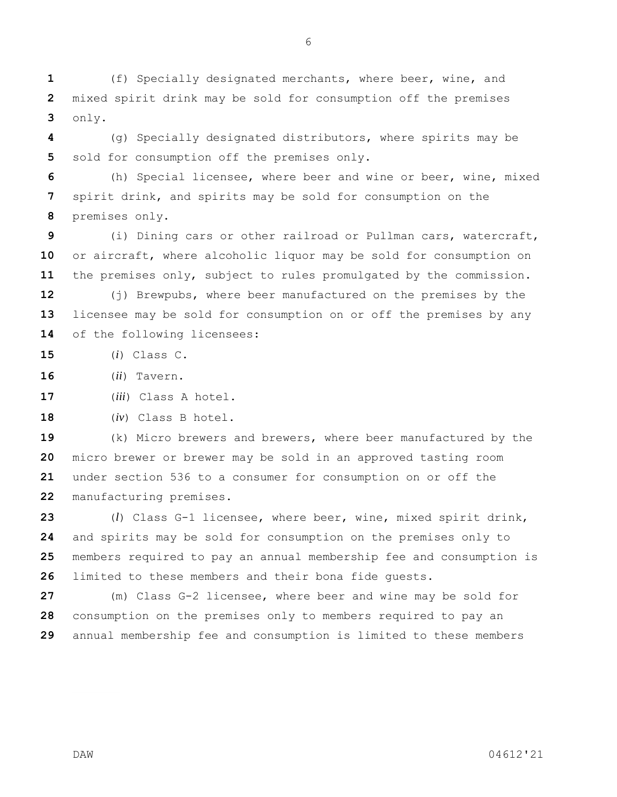(f) Specially designated merchants, where beer, wine, and mixed spirit drink may be sold for consumption off the premises only.

 (g) Specially designated distributors, where spirits may be sold for consumption off the premises only.

 (h) Special licensee, where beer and wine or beer, wine, mixed spirit drink, and spirits may be sold for consumption on the premises only.

 (i) Dining cars or other railroad or Pullman cars, watercraft, or aircraft, where alcoholic liquor may be sold for consumption on the premises only, subject to rules promulgated by the commission.

 (j) Brewpubs, where beer manufactured on the premises by the licensee may be sold for consumption on or off the premises by any of the following licensees:

(*i*) Class C.

(*ii*) Tavern.

(*iii*) Class A hotel.

(*iv*) Class B hotel.

 (k) Micro brewers and brewers, where beer manufactured by the micro brewer or brewer may be sold in an approved tasting room under section 536 to a consumer for consumption on or off the manufacturing premises.

 (*l*) Class G-1 licensee, where beer, wine, mixed spirit drink, and spirits may be sold for consumption on the premises only to members required to pay an annual membership fee and consumption is limited to these members and their bona fide guests.

 (m) Class G-2 licensee, where beer and wine may be sold for consumption on the premises only to members required to pay an annual membership fee and consumption is limited to these members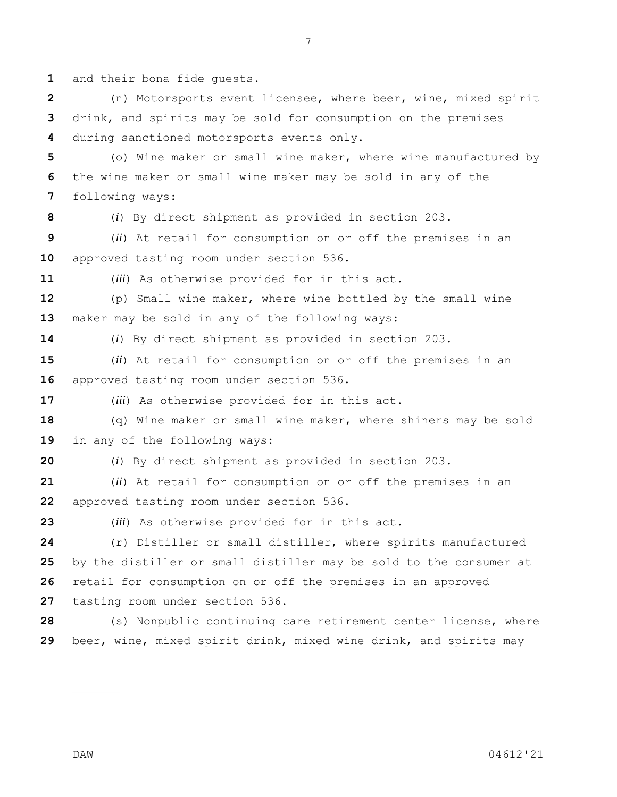and their bona fide guests.

 (n) Motorsports event licensee, where beer, wine, mixed spirit drink, and spirits may be sold for consumption on the premises during sanctioned motorsports events only.

 (o) Wine maker or small wine maker, where wine manufactured by the wine maker or small wine maker may be sold in any of the following ways:

(*i*) By direct shipment as provided in section 203.

 (*ii*) At retail for consumption on or off the premises in an approved tasting room under section 536.

(*iii*) As otherwise provided for in this act.

 (p) Small wine maker, where wine bottled by the small wine maker may be sold in any of the following ways:

(*i*) By direct shipment as provided in section 203.

 (*ii*) At retail for consumption on or off the premises in an approved tasting room under section 536.

(*iii*) As otherwise provided for in this act.

 (q) Wine maker or small wine maker, where shiners may be sold in any of the following ways:

(*i*) By direct shipment as provided in section 203.

 (*ii*) At retail for consumption on or off the premises in an approved tasting room under section 536.

(*iii*) As otherwise provided for in this act.

 (r) Distiller or small distiller, where spirits manufactured by the distiller or small distiller may be sold to the consumer at retail for consumption on or off the premises in an approved tasting room under section 536.

 (s) Nonpublic continuing care retirement center license, where beer, wine, mixed spirit drink, mixed wine drink, and spirits may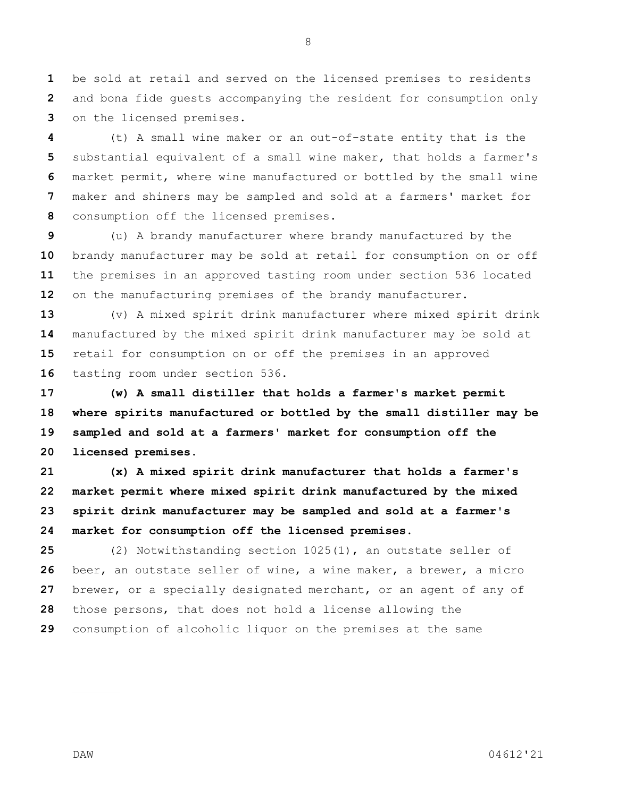be sold at retail and served on the licensed premises to residents and bona fide guests accompanying the resident for consumption only on the licensed premises.

 (t) A small wine maker or an out-of-state entity that is the substantial equivalent of a small wine maker, that holds a farmer's market permit, where wine manufactured or bottled by the small wine maker and shiners may be sampled and sold at a farmers' market for consumption off the licensed premises.

 (u) A brandy manufacturer where brandy manufactured by the brandy manufacturer may be sold at retail for consumption on or off the premises in an approved tasting room under section 536 located on the manufacturing premises of the brandy manufacturer.

 (v) A mixed spirit drink manufacturer where mixed spirit drink manufactured by the mixed spirit drink manufacturer may be sold at retail for consumption on or off the premises in an approved tasting room under section 536.

 **(w) A small distiller that holds a farmer's market permit where spirits manufactured or bottled by the small distiller may be sampled and sold at a farmers' market for consumption off the licensed premises.**

 **(x) A mixed spirit drink manufacturer that holds a farmer's market permit where mixed spirit drink manufactured by the mixed spirit drink manufacturer may be sampled and sold at a farmer's market for consumption off the licensed premises.**

 (2) Notwithstanding section 1025(1), an outstate seller of beer, an outstate seller of wine, a wine maker, a brewer, a micro brewer, or a specially designated merchant, or an agent of any of those persons, that does not hold a license allowing the consumption of alcoholic liquor on the premises at the same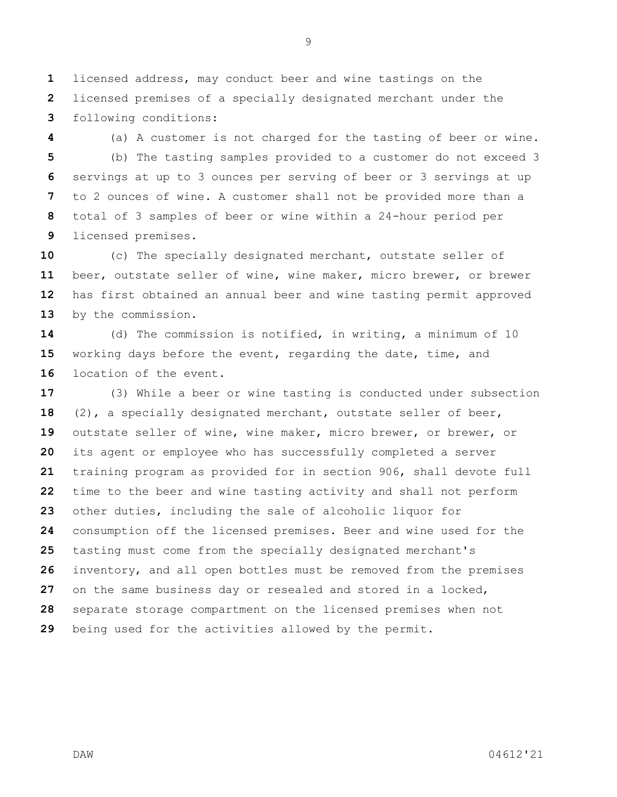licensed address, may conduct beer and wine tastings on the licensed premises of a specially designated merchant under the following conditions:

 (a) A customer is not charged for the tasting of beer or wine. (b) The tasting samples provided to a customer do not exceed 3 servings at up to 3 ounces per serving of beer or 3 servings at up to 2 ounces of wine. A customer shall not be provided more than a total of 3 samples of beer or wine within a 24-hour period per licensed premises.

 (c) The specially designated merchant, outstate seller of beer, outstate seller of wine, wine maker, micro brewer, or brewer has first obtained an annual beer and wine tasting permit approved by the commission.

 (d) The commission is notified, in writing, a minimum of 10 working days before the event, regarding the date, time, and location of the event.

 (3) While a beer or wine tasting is conducted under subsection (2), a specially designated merchant, outstate seller of beer, outstate seller of wine, wine maker, micro brewer, or brewer, or its agent or employee who has successfully completed a server training program as provided for in section 906, shall devote full time to the beer and wine tasting activity and shall not perform other duties, including the sale of alcoholic liquor for consumption off the licensed premises. Beer and wine used for the tasting must come from the specially designated merchant's inventory, and all open bottles must be removed from the premises on the same business day or resealed and stored in a locked, separate storage compartment on the licensed premises when not being used for the activities allowed by the permit.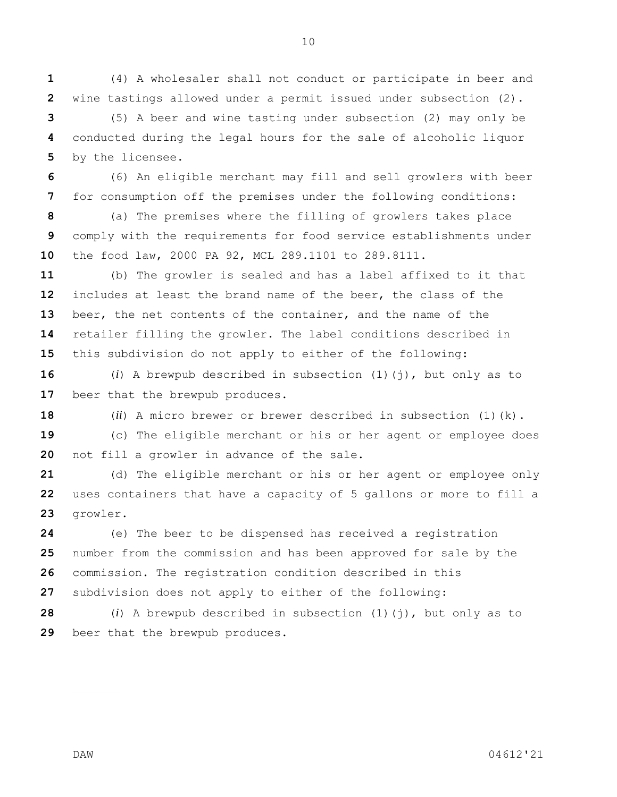(4) A wholesaler shall not conduct or participate in beer and wine tastings allowed under a permit issued under subsection (2).

 (5) A beer and wine tasting under subsection (2) may only be conducted during the legal hours for the sale of alcoholic liquor by the licensee.

 (6) An eligible merchant may fill and sell growlers with beer for consumption off the premises under the following conditions:

 (a) The premises where the filling of growlers takes place comply with the requirements for food service establishments under the food law, 2000 PA 92, MCL 289.1101 to 289.8111.

 (b) The growler is sealed and has a label affixed to it that includes at least the brand name of the beer, the class of the beer, the net contents of the container, and the name of the retailer filling the growler. The label conditions described in this subdivision do not apply to either of the following:

 (*i*) A brewpub described in subsection (1)(j), but only as to 17 beer that the brewpub produces.

(*ii*) A micro brewer or brewer described in subsection (1)(k).

 (c) The eligible merchant or his or her agent or employee does not fill a growler in advance of the sale.

 (d) The eligible merchant or his or her agent or employee only uses containers that have a capacity of 5 gallons or more to fill a growler.

 (e) The beer to be dispensed has received a registration number from the commission and has been approved for sale by the commission. The registration condition described in this subdivision does not apply to either of the following:

 (*i*) A brewpub described in subsection (1)(j), but only as to beer that the brewpub produces.